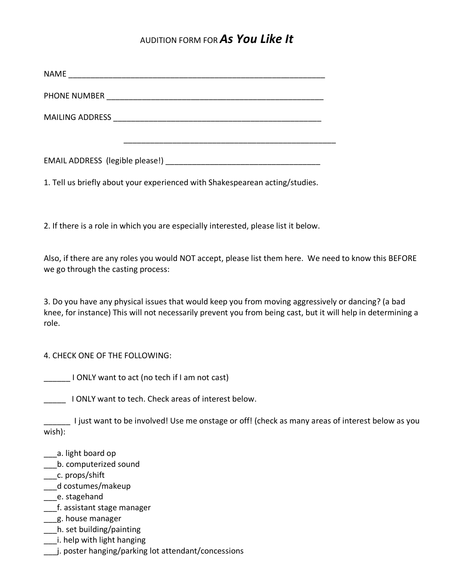## AUDITION FORM FOR *As You Like It*

| 1. Tell us briefly about your experienced with Shakespearean acting/studies.                                                                |  |
|---------------------------------------------------------------------------------------------------------------------------------------------|--|
| 2. If there is a role in which you are especially interested, please list it below.                                                         |  |
| Also, if there are any roles you would NOT accept, please list them here. We need to know this BEFORE<br>we go through the casting process: |  |

3. Do you have any physical issues that would keep you from moving aggressively or dancing? (a bad knee, for instance) This will not necessarily prevent you from being cast, but it will help in determining a role.

## 4. CHECK ONE OF THE FOLLOWING:

\_\_\_\_\_\_ I ONLY want to act (no tech if I am not cast)

I ONLY want to tech. Check areas of interest below.

**\_\_\_\_\_\_** I just want to be involved! Use me onstage or off! (check as many areas of interest below as you wish):

- \_\_\_a. light board op
- \_\_\_b. computerized sound
- \_\_c. props/shift
- \_\_\_d costumes/makeup
- \_\_\_e. stagehand
- \_\_\_f. assistant stage manager
- \_\_\_g. house manager
- \_\_\_h. set building/painting
- \_\_\_i. help with light hanging
- \_\_\_j. poster hanging/parking lot attendant/concessions